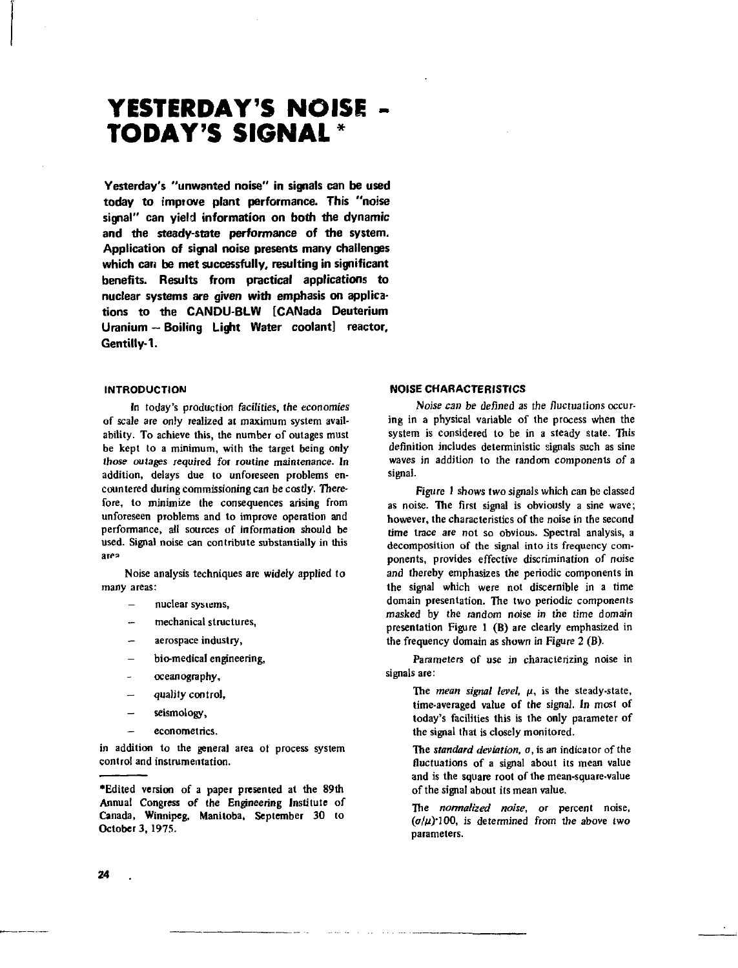# **YESTERDAY'S NOISE - TODAY'S SIGNAL \***

**Yesterday's "unwanted noise" in signals can be used today to improve plant performance. This "noise signal" can yield information on both the dynamic and the steady-state performance of the system. Application of signal noise presents many challenges which can be met successfully, resulting in significant benefits. Results from practical applications to nuclear systems are given with emphasis on applications to the CANDU-BLW [CANada Deuterium Uranium — Boiling Light Water coolant] reactor, Gentilly-1.**

## **INTRODUCTION**

In today's production facilities, *the* economies of scale are only realized at maximum system availability. To achieve this, the number of outages must be kept to a minimum, with the target being only those outages required for routine maintenance. In addition, delays due to unforeseen problems encountered during commissioning can be costly. Therefore, to minimize the consequences arising from unforeseen problems and to improve operation and performance, all sources of information should be used. Signal noise can contribute substantially in this area

Noise analysis techniques are widely applied to many areas:

- nuclear systems,

- mechanical structures,
- aerospace industry,
- bio-medical engineering,
- oceanography,
- **quality control,**
- seismology,
- **econometrics.**

in addition to the general area ot process system control and instrumentation.

'Edited version of a paper presented at the 89th Annual Congress of the Engineering Institute of Canada, Winnipeg, Manitoba, September 30 to October 3, 197S.

# **NOISE CHARACTERISTICS**

Noise *can be defined* as the fluctuations occuring in a physical variable of the process when the system is considered to be in a steady state. This definition includes deterministic signals such as sine waves in addition to the random components of a signal.

Figure I shows two signals which can be classed as noise. The first signal is obviously a sine wave; however, the characteristics of the noise in the second time trace are not so obvious. Spectral analysis, a decomposition of the signal into its frequency components, provides effective discrimination of noise and thereby emphasizes the periodic components in the signal which were not discernible in a time domain presentation. The two periodic components masked by the random noise in the time domain presentation Figure 1 (B) are clearly emphasized in the frequency domain as shown in Figure 2 (B).

Parameters of use in characterizing noise in signals are:

> The *mean signal level*,  $\mu$ , is the steady-state, time-averaged value of the signal. In most of today's facilities this is the only parameter of the signal that is closely monitored.

> The *standard deviation, a,* is an indicator of the fluctuations of a signal about its mean value and is the square root of the mean-square-value of the signal about its mean value.

> The *normalized noise,* or percent noise,  $(\sigma/\mu)^2100$ , is determined from the above two parameters.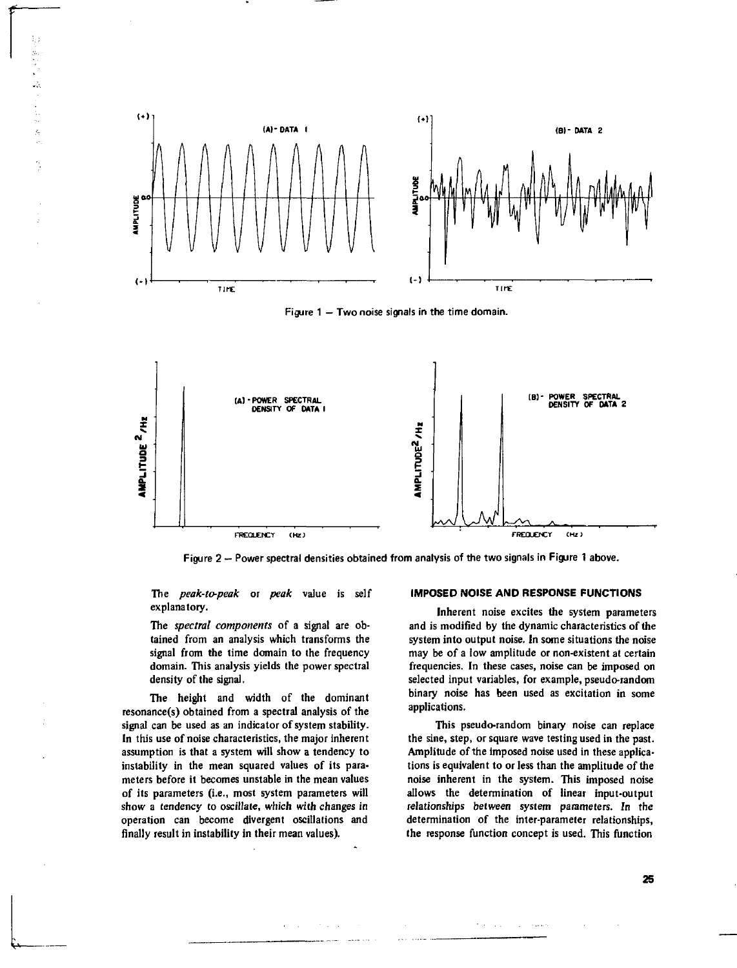

Figure 1 — Two noise signals in the time domain.



Figure 2 - Power spectral densities obtained from analysis of the two signals in Figure 1 above.

**The** *peak-to-peak* **or** *peak* **value is self explanatory.**

k,

Ŕ

**The** *spectral components* **of a signal are obtained from an analysis which transforms the signal from the time domain to the frequency domain. This analysis yields the power spectral density of the signal.**

**The height and width of the dominant resonance(s) obtained from a spectral analysis of the signal can be used as an indicator of system stability. In this use of noise characteristics, the major inherent assumption is that a system will show a tendency to instability in the mean squared values of its parameters before it becomes unstable in the mean values of its parameters (i.e., most system parameters will show a tendency to oscillate, which with changes in operation can become divergent oscillations and finally result in instability in their mean values).**

and a stringer and

#### **IMPOSED NOISE AND RESPONSE FUNCTIONS**

**Inherent noise excites the system parameters and is modified by the dynamic characteristics of the system into output noise. In some situations the noise may be of a low amplitude or non-existent at certain frequencies. In these cases, noise can be imposed on selected input variables, for example, pseudo-random binary noise has been used as excitation in some applications.**

**This pseudo-random binary noise can replace the sine, step, or square wave testing used in the past. Amplitude of the imposed noise used in these applications is equivalent to or less than the amplitude of the noise inherent in the system. This imposed noise allows the determination of linear input-output relationships between system parameters. In the determination of the inter-parameter relationships, the response function concept is used. This function**

 $\mathcal{F}(\mathcal{A})$  , and  $\mathcal{F}(\mathcal{A})$  is a second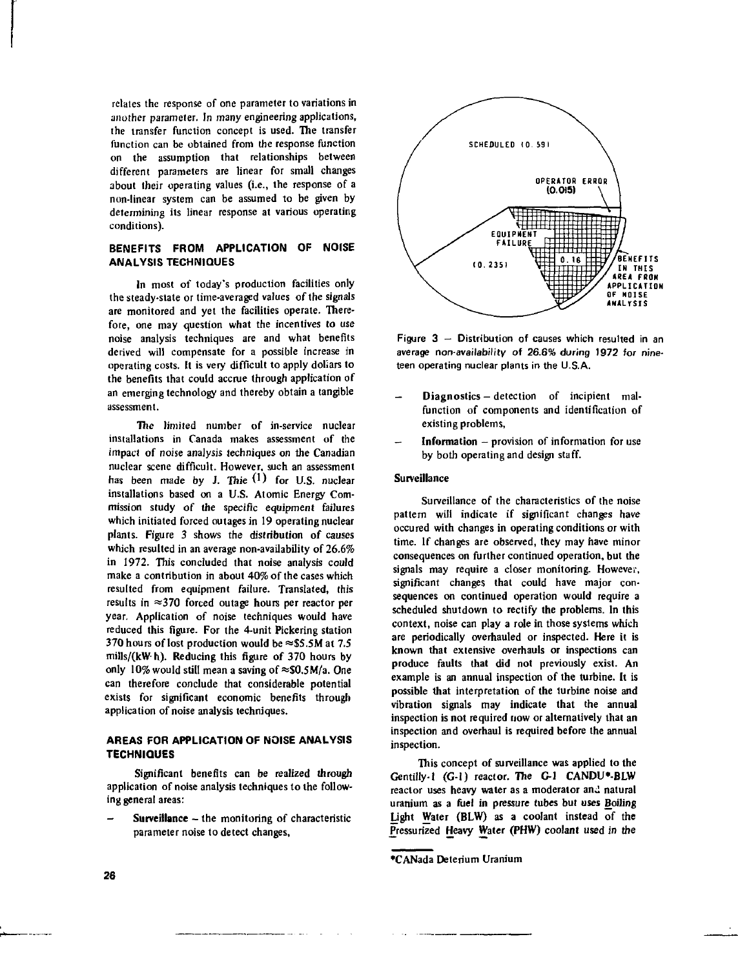relates the response of one parameter to variations in another parameter. In many engineering applications, the transfer function concept is used. The transfer function can be obtained from the response function on the assumption that relationships between different parameters are linear for small changes about their operating values (i.e., the response of a non-linear system can be assumed to be given by determining its linear response at various operating conditions).

# **BENEFITS FROM APPLICATION OF NOISE ANALYSIS TECHNIQUES**

In most of today's production facilities only the steady-state or time-averaged values of the signals are monitored and yet the facilities operate. Therefore, one may question what the incentives to use noise analysis techniques are and what benefits derived will compensate for a possible increase in operating costs. It is very difficult to apply dollars to the benefits that could accrue through application of an emerging technology and thereby obtain a tangible assessment.

The limited number of in-service nuclear installations in Canada makes assessment of the impact of noise analysis techniques on the Canadian nuclear scene difficult. However, such an assessment has been made by J. Thie  $(1)$  for U.S. nuclear installations based on a U.S. Atomic Energy Commission study of the specific equipment failures which initiated forced outages in 19 operating nuclear plants. Figure 3 shows the distribution of causes which resulted in an average non-availability of 26.6% in 1972. This concluded that noise analysis could make a contribution in about 40% of the cases which resulted from equipment failure. Translated, this results in  $\approx$ 370 forced outage hours per reactor per year. Application of noise techniques would have reduced this figure. For the 4-unit Pickering station 370 hours of lost production would be  $\approx$  \$5.5M at 7.5 mills/(kW- h). Reducing this figure of 370 hours by only 10% would still mean a saving of  $\approx$ \$0.5M/a. One can therefore conclude that considerable potential exists for significant economic benefits through application of noise analysis techniques.

# **AREAS FOR APPLICATION OF NOISE ANALYSIS TECHNIQUES**

Significant benefits can be realized through application of noise analysis techniques to the following general areas:

Surveillance - the monitoring of characteristic parameter noise to detect changes,



Figure 3 — Distribution of causes which resulted in an average non-availability of 26.6% during 1972 for nineteen operating nuclear plants in the U.S.A.

- Diagnostics detection of incipient malfunction of components and identification of existing problems,
- Information  $-$  provision of information for use by both operating and design staff.

## Surveillance

Surveillance of the characteristics of the noise pattern will indicate if significant changes have occured with changes in operating conditions or with time. If changes are observed, they may have minor consequences on further continued operation, but the signals may require a closer monitoring. However, significant changes that could have major consequences on continued operation would require a scheduled shutdown to rectify the problems. In this context, noise can play a role in those systems which are periodically overhauled or inspected. Here it is known that extensive overhauls or inspections can produce faults that did not previously exist. An example is an annual inspection of the turbine. It is possible that interpretation of the turbine noise and vibration signals may indicate that the annual inspection is not required now or alternatively that an inspection and overhaul is required before the annual inspection.

This concept of surveillance was applied to the Gentilly-1 (G-l) reactor. The G-l CANDU\*-BLW reactor uses heavy water as a moderator and natural uranium as a fuel in pressure tubes but uses Boiling Light Water (BLW) as a coolant instead of the Pressurized Heavy Water (PHW) coolant used in the

<sup>•</sup>CANada Deterium Uranium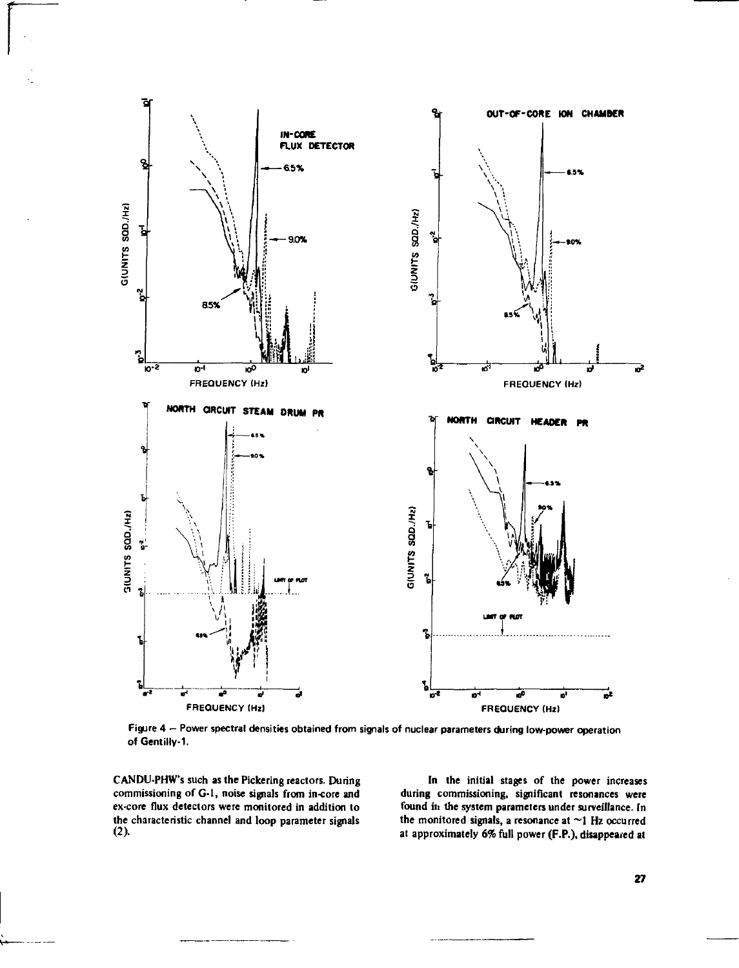

**Figure 4 - Power spectral densities obtained from signals of nuclear parameters during low-power operation of Gentilly-1.**

**CANDU-PHW's such as the Pickering reactors. During commissioning of G-l, noise signals from in-core and ex-core flux detectors were monitored in addition to the characteristic channel and loop parameter signals**

**In the initial stages of the power increases during commissioning, significant resonances were found in the system parameters under surveillance. In the monitored signals, a resonance at ~1 Hz occurred at approximately** *6%* **full power (F.P.), disappeared at**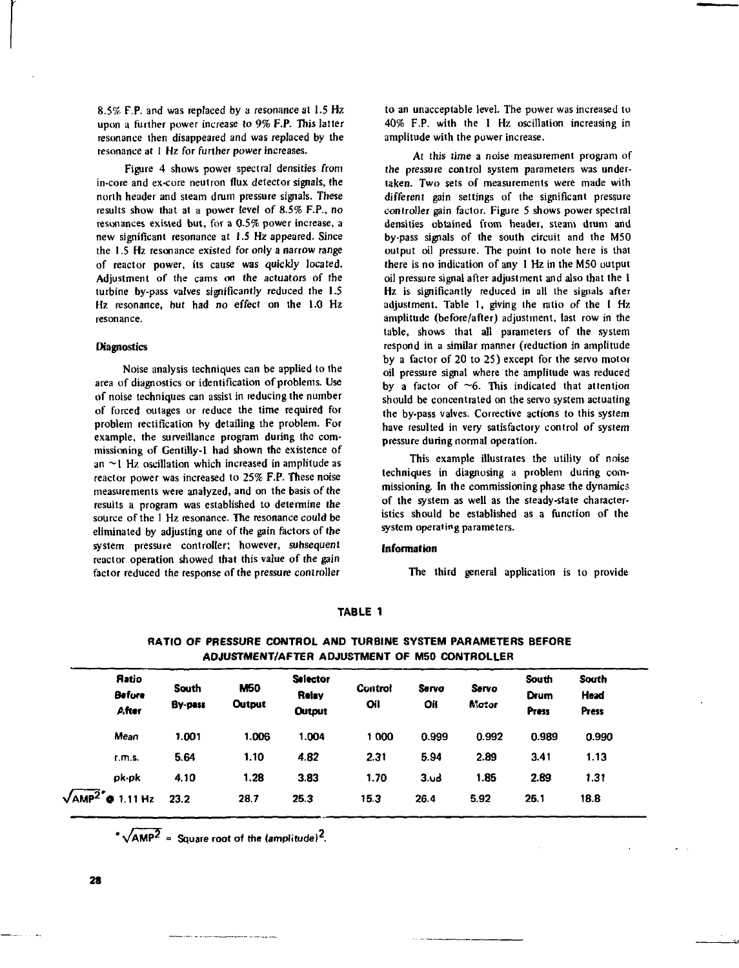8.5% F.P. and was replaced by a resonance at 1.5 Hz upon a further power increase *to* 9% F.P. This latter resonance then disappeared and was replaced by the resonance at 1 Hz for further power increases.

Figure 4 shows power spectral densities from in-core and ex-core neutron flux detector signals, the north header and steam drum pressure signals. These results show that at a power level of 8.5% F.P., no resonances existed but, for a 0.5% power increase, a new significant resonance at 1.5 Hz appeared. Since the 1.5 Hz resonance existed for only a narrow range of reactor power, its cause was quickly located. Adjustment of the cams on the actuators of the turbine by-pass valves significantly reduced the 1.5 Hz resonance, but had no effect on the 1.0 Hz resonance.

## **Diagnostics**

Noise analysis techniques can be applied to the area of diagnostics or identification of problems. Use of noise techniques can assist in reducing the number of forced outages or reduce the time required for problem rectification by detailing the problem. For example, the surveillance program during the commissioning of Gentilly-1 had shown the existence of an  $\sim$ 1 Hz oscillation which increased in amplitude as reactor power was increased to 25% F.P. These noise measurements were analyzed, and on the basis of the results a program was established to determine the source of the I Hz resonance. The resonance could be eliminated by adjusting one of the gain factors of the system pressure controller; however, subsequent reactor operation showed that this value of the gain factor reduced the response of the pressure controller

to an unacceptable level. The power was increased to 40% F.P. with the 1 Hz oscillation increasing in amplitude with the power increase.

At this time a noise measurement program of the pressure control system parameters was undertaken. Two sets of measurements were made with different gain settings of the significant pressure controller gain factor. Figure 5 shows power spectral densities obtained from header, steam drum and by-pass signals of the south circuit and the M50 output oil pressure. The point to note here is that there is no indication of any 1 Hz in the M50 output oil pressure signal after adjustment and also that the 1 Hz is significantly reduced in all the signals after adjustment. Table 1, giving the ratio of the 1 Hz amplitude (before/after) adjustment, last row in the table, shows that all parameters of the system respond in a similar manner (reduction in amplitude by a factor of 20 to 25) except for the servo motor oil pressure signal where the amplitude was reduced by a factor of  $\sim$ 6. This indicated that attention should be concentrated on the servo system actuating the by-pass valves. Corrective actions to this system have resulted in very satisfactory control of system pressure during normal operation.

This example illustrates the utility of noise techniques in diagnosing a problem during commissioning. In the commissioning phase the dynamics of the system as well as the steady-state characteristics should be established as a function of the system operating parameters.

#### **Information**

The third general application is to provide

#### **TABLE 1**

| <b>Ratio</b><br><b>Before</b><br>After | South<br>By-pass | <b>M50</b><br><b>Output</b> | <b>Selector</b><br>Relay<br><b>Output</b> | Control<br>Oil | Servo<br>Oil     | Servo<br><b>Matur</b> | South<br>Drum<br><b>Press</b> | South<br>Head<br>Press |
|----------------------------------------|------------------|-----------------------------|-------------------------------------------|----------------|------------------|-----------------------|-------------------------------|------------------------|
| Mean                                   | 1.001            | 1.006                       | 1.004                                     | 1000           | 0.999            | 0.992                 | 0.989                         | 0.990                  |
| r.m.s.                                 | 5.64             | 1.10                        | 4.82                                      | 2.31           | 5.94             | 2.89                  | 3.41                          | 1.13                   |
| ok-ok                                  | 4.10             | 1.28                        | 3.83                                      | 1.70           | 3.4 <sub>o</sub> | 1.85                  | 2.89                          | 1.31                   |
| AMP <sup>2</sup><br>1.11 Hz<br>۰       | 23.2             | 28.7                        | 25.3                                      | 15.3           | 26.4             | 5.92                  | 25.1                          | 18.8                   |

**RATIO OF PRESSURE CONTROL AND TURBINE SYSTEM PARAMETERS BEFORE ADJUSTMENT/AFTER ADJUSTMENT OF M50 CONTROLLER**

 $^2$   $\sqrt{AMP^2}$  = Square root of the (amplitude)<sup>2</sup>.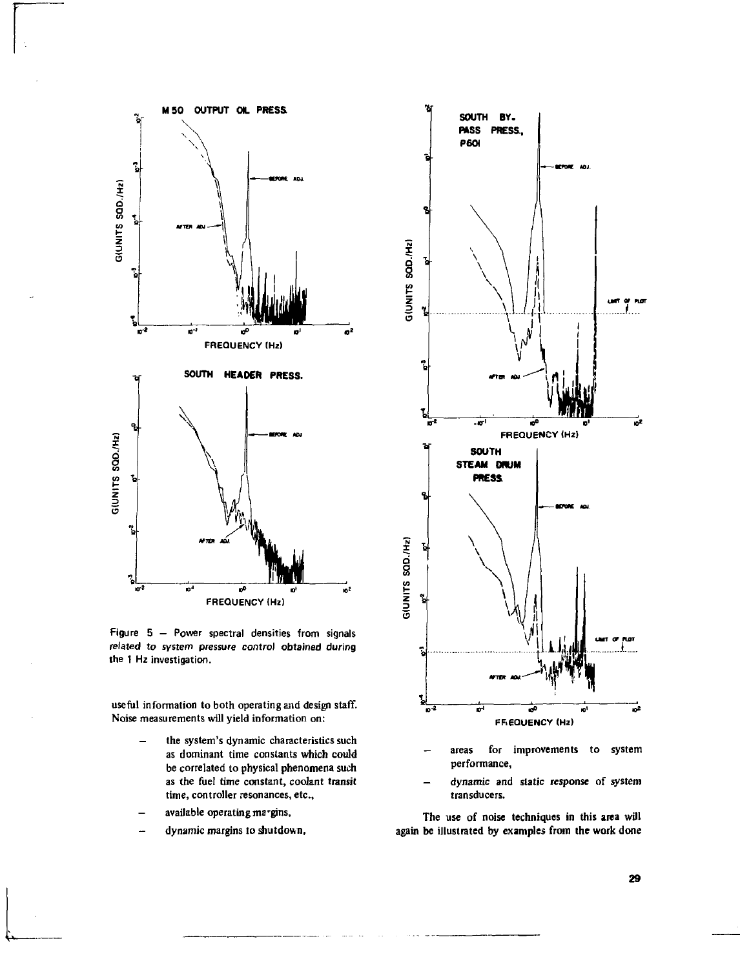

**Figure 5 - Power spectral densities from signals related to system pressure control obtained during the 1 Hz investigation.**

**useful information to both operating and design staff. Noise measurements will yield information on:**

- **the system's dynamic characteristics such as dominant time constants which could be correlated to physical phenomena such as the fuel time constant, coolant transit time, controller resonances, etc.,**
- **available operating ma'gins,**
- **dynamic margins to shutdown,**



- **areas for improvements to system performance,**
- **dynamic and static response of system transducers.**

**The use of noise techniques in this area will be illustrated by examples from the work done**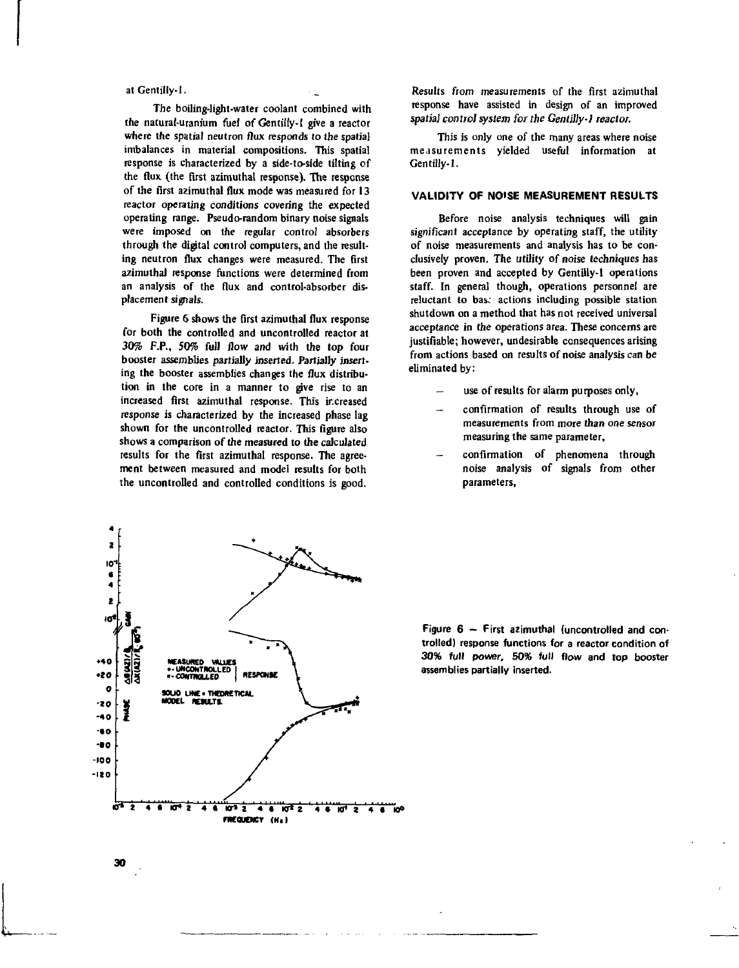## at Gentilly-1.

The boiling-light-water coolant combined with the natural-uranium fuel of Gentiiiy-1 give a reactor where the spatial neutron flux responds to the spatial imbalances in material compositions. This spatial response is characterized by a side-to-side tilting of the flux (the **first** azimuthal response). The response of the first azimuthal flux mode was measured for 13 reactor operating conditions covering the expected operating range. Pseudo-random binary noise signals were imposed on the regular control absorbers through the digital control computers, and the resulting neutron flux changes were measured. The first azimuthal response functions were determined from an analysis of the flux and control-absorber displacement signals.

Figure 6 shows the first azimuthal flux response for both the controlled and uncontrolled reactor at 30% F.P., 50% full *Row* and with the top four booster assemblies partially inserted. Partially inserting the booster assemblies changes the flux distribution in the core in a manner to give rise to an increased first azimuthal response. This increased response is characterized by the increased phase lag shown for the uncontrolled reactor. This figure also shows a comparison of the measured to the calculated results for the first azimuthal response. The agreement between measured and model results for both the uncontrolled and controlled conditions is good.

Results from measurements of the first azimuthal response have assisted in design of an improved *spatial control system for the Gentilly-1 reactor.*

This is only one of the many areas where noise measurements yielded useful information at Gentilly-1.

# **VALIDITY OF NOISE MEASUREMENT RESULTS**

Before noise analysis techniques will gain significant acceptance by operating staff, the utility of noise measurements and analysis has to be conclusively proven. The utility of noise techniques has been proven and accepted by Gentilly-1 operations staff. In general though, operations personnel are reluctant to bas: actions including possible station shutdown on a method that has not received universal acceptance in the operations area. These concerns are justifiable; however, undesirable consequences arising from actions based on results of noise analysis can be eliminated by:

- use of results for alarm purposes only,
- confirmation of results through use of measurements from more than one sensor measuring the same parameter,
- confirmation of phenomena through noise analysis of signals from other parameters,



**Figure 6 - First azimuthal (uncontrolled and controlled) response functions for a reactor condition of 30% full power, 50% full flow and top booster assemblies partially inserted.**